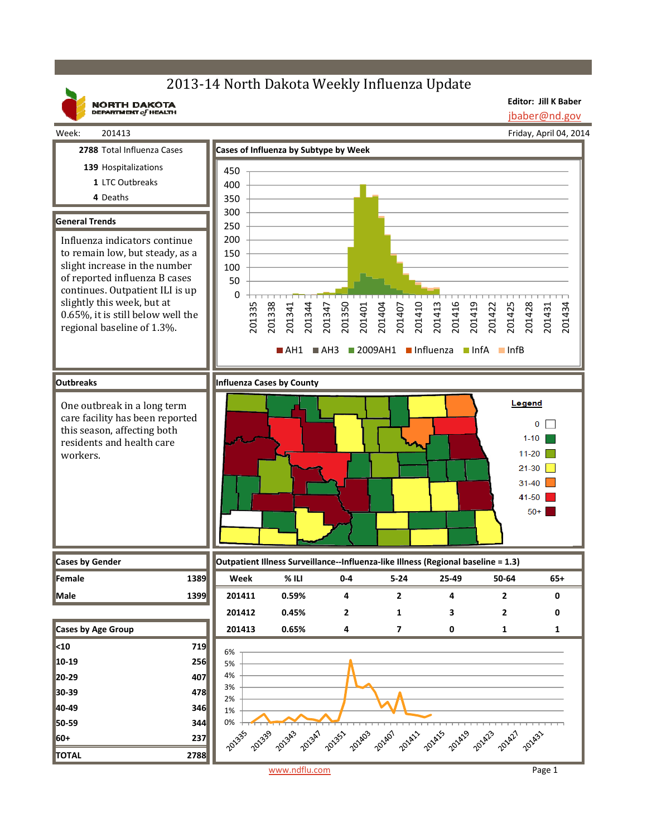# 2013-14 North Dakota Weekly Influenza Update

**NORTH DAKOTA**<br>DEPARTMENT of HEALTH

**Editor: Jill K Baber** jbaber@nd.gov